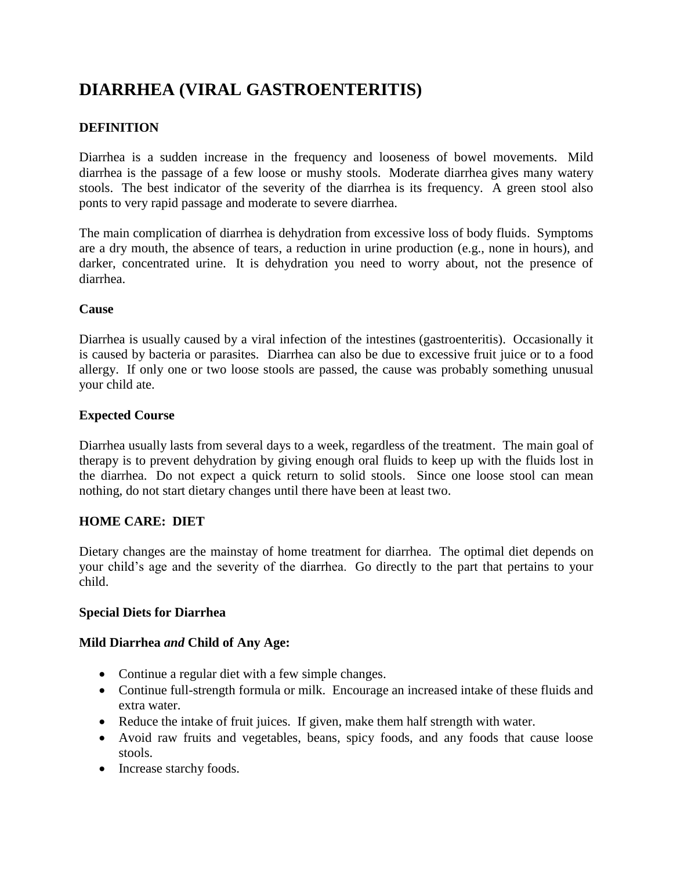# **DIARRHEA (VIRAL GASTROENTERITIS)**

## **DEFINITION**

Diarrhea is a sudden increase in the frequency and looseness of bowel movements. Mild diarrhea is the passage of a few loose or mushy stools. Moderate diarrhea gives many watery stools. The best indicator of the severity of the diarrhea is its frequency. A green stool also ponts to very rapid passage and moderate to severe diarrhea.

The main complication of diarrhea is dehydration from excessive loss of body fluids. Symptoms are a dry mouth, the absence of tears, a reduction in urine production (e.g., none in hours), and darker, concentrated urine. It is dehydration you need to worry about, not the presence of diarrhea.

#### **Cause**

Diarrhea is usually caused by a viral infection of the intestines (gastroenteritis). Occasionally it is caused by bacteria or parasites. Diarrhea can also be due to excessive fruit juice or to a food allergy. If only one or two loose stools are passed, the cause was probably something unusual your child ate.

### **Expected Course**

Diarrhea usually lasts from several days to a week, regardless of the treatment. The main goal of therapy is to prevent dehydration by giving enough oral fluids to keep up with the fluids lost in the diarrhea. Do not expect a quick return to solid stools. Since one loose stool can mean nothing, do not start dietary changes until there have been at least two.

#### **HOME CARE: DIET**

Dietary changes are the mainstay of home treatment for diarrhea. The optimal diet depends on your child's age and the severity of the diarrhea. Go directly to the part that pertains to your child.

#### **Special Diets for Diarrhea**

#### **Mild Diarrhea** *and* **Child of Any Age:**

- Continue a regular diet with a few simple changes.
- Continue full-strength formula or milk. Encourage an increased intake of these fluids and extra water.
- Reduce the intake of fruit juices. If given, make them half strength with water.
- Avoid raw fruits and vegetables, beans, spicy foods, and any foods that cause loose stools.
- Increase starchy foods.